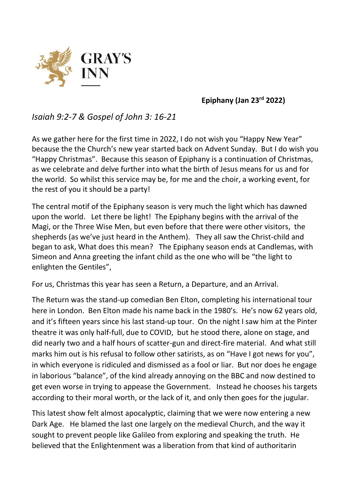

## **Epiphany (Jan 23rd 2022)**

## *Isaiah 9:2-7 & Gospel of John 3: 16-21*

As we gather here for the first time in 2022, I do not wish you "Happy New Year" because the the Church's new year started back on Advent Sunday. But I do wish you "Happy Christmas". Because this season of Epiphany is a continuation of Christmas, as we celebrate and delve further into what the birth of Jesus means for us and for the world. So whilst this service may be, for me and the choir, a working event, for the rest of you it should be a party!

The central motif of the Epiphany season is very much the light which has dawned upon the world. Let there be light! The Epiphany begins with the arrival of the Magi, or the Three Wise Men, but even before that there were other visitors, the shepherds (as we've just heard in the Anthem). They all saw the Christ-child and began to ask, What does this mean? The Epiphany season ends at Candlemas, with Simeon and Anna greeting the infant child as the one who will be "the light to enlighten the Gentiles",

For us, Christmas this year has seen a Return, a Departure, and an Arrival.

The Return was the stand-up comedian Ben Elton, completing his international tour here in London. Ben Elton made his name back in the 1980's. He's now 62 years old, and it's fifteen years since his last stand-up tour. On the night I saw him at the Pinter theatre it was only half-full, due to COVID, but he stood there, alone on stage, and did nearly two and a half hours of scatter-gun and direct-fire material. And what still marks him out is his refusal to follow other satirists, as on "Have I got news for you", in which everyone is ridiculed and dismissed as a fool or liar. But nor does he engage in laborious "balance", of the kind already annoying on the BBC and now destined to get even worse in trying to appease the Government. Instead he chooses his targets according to their moral worth, or the lack of it, and only then goes for the jugular.

This latest show felt almost apocalyptic, claiming that we were now entering a new Dark Age. He blamed the last one largely on the medieval Church, and the way it sought to prevent people like Galileo from exploring and speaking the truth. He believed that the Enlightenment was a liberation from that kind of authoritarin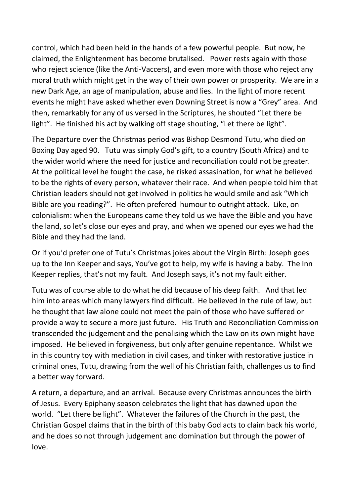control, which had been held in the hands of a few powerful people. But now, he claimed, the Enlightenment has become brutalised. Power rests again with those who reject science (like the Anti-Vaccers), and even more with those who reject any moral truth which might get in the way of their own power or prosperity. We are in a new Dark Age, an age of manipulation, abuse and lies. In the light of more recent events he might have asked whether even Downing Street is now a "Grey" area. And then, remarkably for any of us versed in the Scriptures, he shouted "Let there be light". He finished his act by walking off stage shouting, "Let there be light".

The Departure over the Christmas period was Bishop Desmond Tutu, who died on Boxing Day aged 90. Tutu was simply God's gift, to a country (South Africa) and to the wider world where the need for justice and reconciliation could not be greater. At the political level he fought the case, he risked assasination, for what he believed to be the rights of every person, whatever their race. And when people told him that Christian leaders should not get involved in politics he would smile and ask "Which Bible are you reading?". He often prefered humour to outright attack. Like, on colonialism: when the Europeans came they told us we have the Bible and you have the land, so let's close our eyes and pray, and when we opened our eyes we had the Bible and they had the land.

Or if you'd prefer one of Tutu's Christmas jokes about the Virgin Birth: Joseph goes up to the Inn Keeper and says, You've got to help, my wife is having a baby. The Inn Keeper replies, that's not my fault. And Joseph says, it's not my fault either.

Tutu was of course able to do what he did because of his deep faith. And that led him into areas which many lawyers find difficult. He believed in the rule of law, but he thought that law alone could not meet the pain of those who have suffered or provide a way to secure a more just future. His Truth and Reconciliation Commission transcended the judgement and the penalising which the Law on its own might have imposed. He believed in forgiveness, but only after genuine repentance. Whilst we in this country toy with mediation in civil cases, and tinker with restorative justice in criminal ones, Tutu, drawing from the well of his Christian faith, challenges us to find a better way forward.

A return, a departure, and an arrival. Because every Christmas announces the birth of Jesus. Every Epiphany season celebrates the light that has dawned upon the world. "Let there be light". Whatever the failures of the Church in the past, the Christian Gospel claims that in the birth of this baby God acts to claim back his world, and he does so not through judgement and domination but through the power of love.